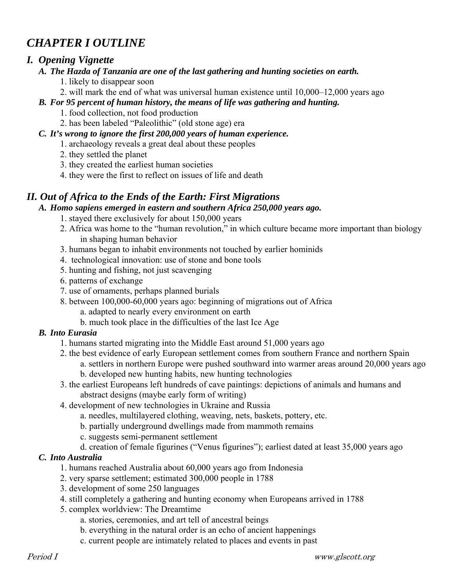# *CHAPTER I OUTLINE*

# *I. Opening Vignette*

- *A. The Hazda of Tanzania are one of the last gathering and hunting societies on earth.* 
	- 1. likely to disappear soon
	- 2. will mark the end of what was universal human existence until 10,000–12,000 years ago
- *B. For 95 percent of human history, the means of life was gathering and hunting.* 
	- 1. food collection, not food production
	- 2. has been labeled "Paleolithic" (old stone age) era
- *C. It's wrong to ignore the first 200,000 years of human experience.* 
	- 1. archaeology reveals a great deal about these peoples
	- 2. they settled the planet
	- 3. they created the earliest human societies
	- 4. they were the first to reflect on issues of life and death

# *II. Out of Africa to the Ends of the Earth: First Migrations*

### *A. Homo sapiens emerged in eastern and southern Africa 250,000 years ago.*

- 1. stayed there exclusively for about 150,000 years
- 2. Africa was home to the "human revolution," in which culture became more important than biology in shaping human behavior
- 3. humans began to inhabit environments not touched by earlier hominids
- 4. technological innovation: use of stone and bone tools
- 5. hunting and fishing, not just scavenging
- 6. patterns of exchange
- 7. use of ornaments, perhaps planned burials
- 8. between 100,000-60,000 years ago: beginning of migrations out of Africa
	- a. adapted to nearly every environment on earth
	- b. much took place in the difficulties of the last Ice Age

# *B. Into Eurasia*

- 1. humans started migrating into the Middle East around 51,000 years ago
- 2. the best evidence of early European settlement comes from southern France and northern Spain a. settlers in northern Europe were pushed southward into warmer areas around 20,000 years ago
	- b. developed new hunting habits, new hunting technologies
- 3. the earliest Europeans left hundreds of cave paintings: depictions of animals and humans and abstract designs (maybe early form of writing)
- 4. development of new technologies in Ukraine and Russia
	- a. needles, multilayered clothing, weaving, nets, baskets, pottery, etc.
	- b. partially underground dwellings made from mammoth remains
	- c. suggests semi-permanent settlement
	- d. creation of female figurines ("Venus figurines"); earliest dated at least 35,000 years ago

# *C. Into Australia*

- 1. humans reached Australia about 60,000 years ago from Indonesia
- 2. very sparse settlement; estimated 300,000 people in 1788
- 3. development of some 250 languages
- 4. still completely a gathering and hunting economy when Europeans arrived in 1788
- 5. complex worldview: The Dreamtime
	- a. stories, ceremonies, and art tell of ancestral beings
	- b. everything in the natural order is an echo of ancient happenings
	- c. current people are intimately related to places and events in past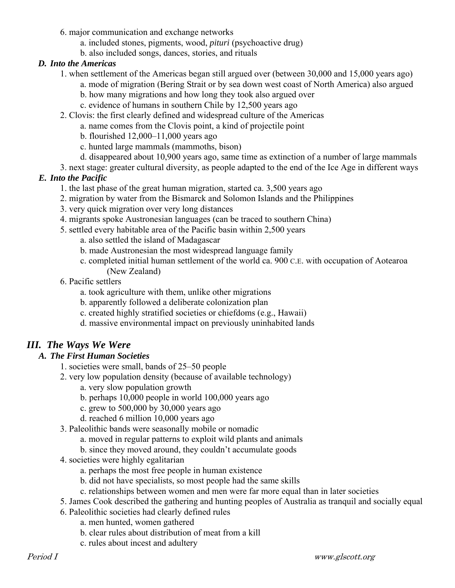- 6. major communication and exchange networks
	- a. included stones, pigments, wood, *pituri* (psychoactive drug)
	- b. also included songs, dances, stories, and rituals

#### *D. Into the Americas*

- 1. when settlement of the Americas began still argued over (between 30,000 and 15,000 years ago)
	- a. mode of migration (Bering Strait or by sea down west coast of North America) also argued
		- b. how many migrations and how long they took also argued over
		- c. evidence of humans in southern Chile by 12,500 years ago
- 2. Clovis: the first clearly defined and widespread culture of the Americas
	- a. name comes from the Clovis point, a kind of projectile point
	- b. flourished 12,000–11,000 years ago
	- c. hunted large mammals (mammoths, bison)
	- d. disappeared about 10,900 years ago, same time as extinction of a number of large mammals
- 3. next stage: greater cultural diversity, as people adapted to the end of the Ice Age in different ways

# *E. Into the Pacific*

- 1. the last phase of the great human migration, started ca. 3,500 years ago
- 2. migration by water from the Bismarck and Solomon Islands and the Philippines
- 3. very quick migration over very long distances
- 4. migrants spoke Austronesian languages (can be traced to southern China)
- 5. settled every habitable area of the Pacific basin within 2,500 years
	- a. also settled the island of Madagascar
	- b. made Austronesian the most widespread language family
	- c. completed initial human settlement of the world ca. 900 C.E. with occupation of Aotearoa (New Zealand)
- 6. Pacific settlers
	- a. took agriculture with them, unlike other migrations
	- b. apparently followed a deliberate colonization plan
	- c. created highly stratified societies or chiefdoms (e.g., Hawaii)
	- d. massive environmental impact on previously uninhabited lands

# *III. The Ways We Were*

# *A. The First Human Societies*

- 1. societies were small, bands of 25–50 people
- 2. very low population density (because of available technology)
	- a. very slow population growth
	- b. perhaps 10,000 people in world 100,000 years ago
	- c. grew to 500,000 by 30,000 years ago
	- d. reached 6 million 10,000 years ago
- 3. Paleolithic bands were seasonally mobile or nomadic
	- a. moved in regular patterns to exploit wild plants and animals
	- b. since they moved around, they couldn't accumulate goods
- 4. societies were highly egalitarian
	- a. perhaps the most free people in human existence
	- b. did not have specialists, so most people had the same skills
	- c. relationships between women and men were far more equal than in later societies
- 5. James Cook described the gathering and hunting peoples of Australia as tranquil and socially equal
- 6. Paleolithic societies had clearly defined rules
	- a. men hunted, women gathered
	- b. clear rules about distribution of meat from a kill
	- c. rules about incest and adultery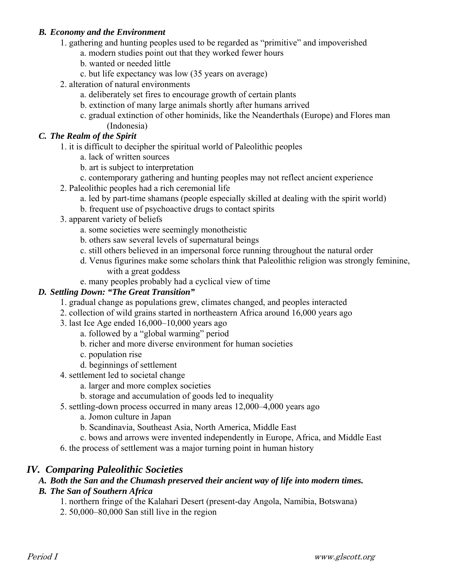#### *B. Economy and the Environment*

- 1. gathering and hunting peoples used to be regarded as "primitive" and impoverished
	- a. modern studies point out that they worked fewer hours
	- b. wanted or needed little
	- c. but life expectancy was low (35 years on average)
- 2. alteration of natural environments
	- a. deliberately set fires to encourage growth of certain plants
	- b. extinction of many large animals shortly after humans arrived
	- c. gradual extinction of other hominids, like the Neanderthals (Europe) and Flores man (Indonesia)

#### *C. The Realm of the Spirit*

- 1. it is difficult to decipher the spiritual world of Paleolithic peoples
	- a. lack of written sources
	- b. art is subject to interpretation
	- c. contemporary gathering and hunting peoples may not reflect ancient experience
- 2. Paleolithic peoples had a rich ceremonial life
	- a. led by part-time shamans (people especially skilled at dealing with the spirit world)
	- b. frequent use of psychoactive drugs to contact spirits
- 3. apparent variety of beliefs
	- a. some societies were seemingly monotheistic
	- b. others saw several levels of supernatural beings
	- c. still others believed in an impersonal force running throughout the natural order
	- d. Venus figurines make some scholars think that Paleolithic religion was strongly feminine, with a great goddess
	- e. many peoples probably had a cyclical view of time

#### *D. Settling Down: "The Great Transition"*

- 1. gradual change as populations grew, climates changed, and peoples interacted
- 2. collection of wild grains started in northeastern Africa around 16,000 years ago
- 3. last Ice Age ended 16,000–10,000 years ago
	- a. followed by a "global warming" period
	- b. richer and more diverse environment for human societies
	- c. population rise
	- d. beginnings of settlement
- 4. settlement led to societal change
	- a. larger and more complex societies
	- b. storage and accumulation of goods led to inequality
- 5. settling-down process occurred in many areas 12,000–4,000 years ago
	- a. Jomon culture in Japan
	- b. Scandinavia, Southeast Asia, North America, Middle East
	- c. bows and arrows were invented independently in Europe, Africa, and Middle East
- 6. the process of settlement was a major turning point in human history

# *IV. Comparing Paleolithic Societies*

# *A. Both the San and the Chumash preserved their ancient way of life into modern times.*

# *B. The San of Southern Africa*

- 1. northern fringe of the Kalahari Desert (present-day Angola, Namibia, Botswana)
- 2. 50,000–80,000 San still live in the region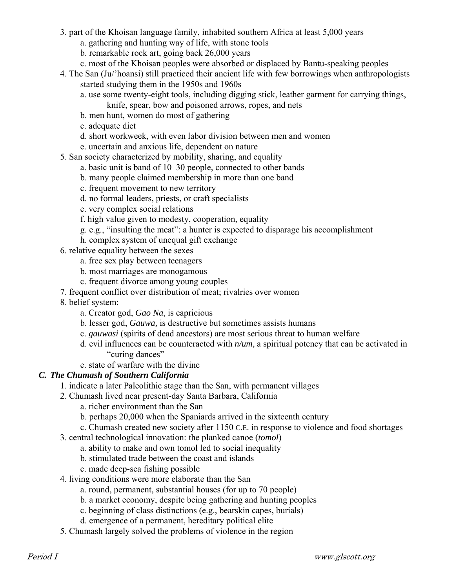- 3. part of the Khoisan language family, inhabited southern Africa at least 5,000 years
	- a. gathering and hunting way of life, with stone tools
	- b. remarkable rock art, going back 26,000 years
	- c. most of the Khoisan peoples were absorbed or displaced by Bantu-speaking peoples
- 4. The San (Ju/'hoansi) still practiced their ancient life with few borrowings when anthropologists started studying them in the 1950s and 1960s
	- a. use some twenty-eight tools, including digging stick, leather garment for carrying things,
		- knife, spear, bow and poisoned arrows, ropes, and nets
	- b. men hunt, women do most of gathering
	- c. adequate diet
	- d. short workweek, with even labor division between men and women
	- e. uncertain and anxious life, dependent on nature
- 5. San society characterized by mobility, sharing, and equality
	- a. basic unit is band of 10–30 people, connected to other bands
	- b. many people claimed membership in more than one band
	- c. frequent movement to new territory
	- d. no formal leaders, priests, or craft specialists
	- e. very complex social relations
	- f. high value given to modesty, cooperation, equality
	- g. e.g., "insulting the meat": a hunter is expected to disparage his accomplishment
	- h. complex system of unequal gift exchange
- 6. relative equality between the sexes
	- a. free sex play between teenagers
	- b. most marriages are monogamous
	- c. frequent divorce among young couples
- 7. frequent conflict over distribution of meat; rivalries over women
- 8. belief system:
	- a. Creator god, *Gao Na*, is capricious
	- b. lesser god, *Gauwa,* is destructive but sometimes assists humans
	- c. *gauwasi* (spirits of dead ancestors) are most serious threat to human welfare
	- d. evil influences can be counteracted with *n/um*, a spiritual potency that can be activated in "curing dances"
	- e. state of warfare with the divine

#### *C. The Chumash of Southern California*

- 1. indicate a later Paleolithic stage than the San, with permanent villages
- 2. Chumash lived near present-day Santa Barbara, California
	- a. richer environment than the San
	- b. perhaps 20,000 when the Spaniards arrived in the sixteenth century
	- c. Chumash created new society after 1150 C.E. in response to violence and food shortages
- 3. central technological innovation: the planked canoe (*tomol*)
	- a. ability to make and own tomol led to social inequality
	- b. stimulated trade between the coast and islands
	- c. made deep-sea fishing possible
- 4. living conditions were more elaborate than the San
	- a. round, permanent, substantial houses (for up to 70 people)
	- b. a market economy, despite being gathering and hunting peoples
	- c. beginning of class distinctions (e.g., bearskin capes, burials)
	- d. emergence of a permanent, hereditary political elite
- 5. Chumash largely solved the problems of violence in the region